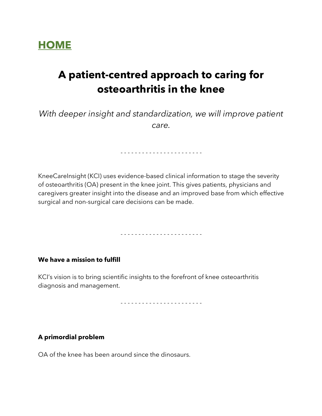

### **A patient-centred approach to caring for osteoarthritis in the knee**

*With deeper insight and standardization, we will improve patient care.*

- - - - - - - - - - - - - - - - - - - - - - -

KneeCareInsight (KCI) uses evidence-based clinical information to stage the severity of osteoarthritis (OA) present in the knee joint. This gives patients, physicians and caregivers greater insight into the disease and an improved base from which effective surgical and non-surgical care decisions can be made.

- - - - - - - - - - - - - - - - - - - - - - -

**We have a mission to fulfill**

KCI's vision is to bring scientific insights to the forefront of knee osteoarthritis diagnosis and management.

- - - - - - - - - - - - - - - - - - - - - - -

#### **A primordial problem**

OA of the knee has been around since the dinosaurs.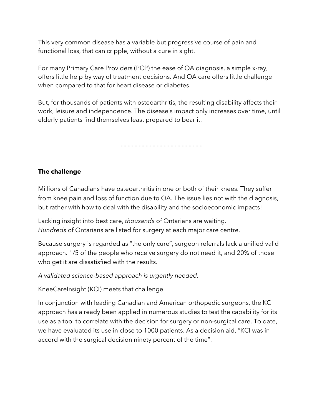This very common disease has a variable but progressive course of pain and functional loss, that can cripple, without a cure in sight.

For many Primary Care Providers (PCP) the ease of OA diagnosis, a simple x-ray, offers little help by way of treatment decisions. And OA care offers little challenge when compared to that for heart disease or diabetes.

But, for thousands of patients with osteoarthritis, the resulting disability affects their work, leisure and independence. The disease's impact only increases over time, until elderly patients find themselves least prepared to bear it.

- - - - - - - - - - - - - - - - - - - - - - -

#### **The challenge**

Millions of Canadians have osteoarthritis in one or both of their knees. They suffer from knee pain and loss of function due to OA. The issue lies not with the diagnosis, but rather with how to deal with the disability and the socioeconomic impacts!

Lacking insight into best care, *thousands* of Ontarians are waiting. *Hundreds* of Ontarians are listed for surgery at each major care centre.

Because surgery is regarded as "the only cure", surgeon referrals lack a unified valid approach. 1/5 of the people who receive surgery do not need it, and 20% of those who get it are dissatisfied with the results.

*A validated science-based approach is urgently needed.*

KneeCareInsight (KCI) meets that challenge.

In conjunction with leading Canadian and American orthopedic surgeons, the KCI approach has already been applied in numerous studies to test the capability for its use as a tool to correlate with the decision for surgery or non-surgical care. To date, we have evaluated its use in close to 1000 patients. As a decision aid, "KCI was in accord with the surgical decision ninety percent of the time".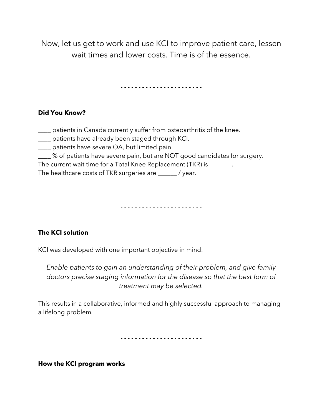Now, let us get to work and use KCI to improve patient care, lessen wait times and lower costs. Time is of the essence.

- - - - - - - - - - - - - - - - - - - - - - -

#### **Did You Know?**

- \_\_\_\_ patients in Canada currently suffer from osteoarthritis of the knee.
- \_\_\_\_ patients have already been staged through KCI.
- \_\_\_\_ patients have severe OA, but limited pain.
- \_\_\_\_ % of patients have severe pain, but are NOT good candidates for surgery.

The current wait time for a Total Knee Replacement (TKR) is \_\_\_\_\_\_\_.

The healthcare costs of TKR surgeries are \_\_\_\_\_\_ / year.

- - - - - - - - - - - - - - - - - - - - - - -

#### **The KCI solution**

KCI was developed with one important objective in mind:

*Enable patients to gain an understanding of their problem, and give family doctors precise staging information for the disease so that the best form of treatment may be selected.*

This results in a collaborative, informed and highly successful approach to managing a lifelong problem*.*

- - - - - - - - - - - - - - - - - - - - - - -

**How the KCI program works**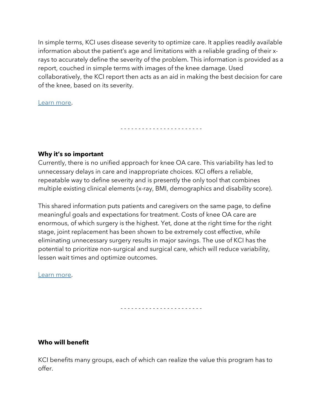In simple terms, KCI uses disease severity to optimize care. It applies readily available information about the patient's age and limitations with a reliable grading of their xrays to accurately define the severity of the problem. This information is provided as a report, couched in simple terms with images of the knee damage. Used collaboratively, the KCI report then acts as an aid in making the best decision for care of the knee, based on its severity.

- - - - - - - - - - - - - - - - - - - - - - -

Learn more.

#### **Why it's so important**

Currently, there is no unified approach for knee OA care. This variability has led to unnecessary delays in care and inappropriate choices. KCI offers a reliable, repeatable way to define severity and is presently the only tool that combines multiple existing clinical elements (x-ray, BMI, demographics and disability score).

This shared information puts patients and caregivers on the same page, to define meaningful goals and expectations for treatment. Costs of knee OA care are enormous, of which surgery is the highest. Yet, done at the right time for the right stage, joint replacement has been shown to be extremely cost effective, while eliminating unnecessary surgery results in major savings. The use of KCI has the potential to prioritize non-surgical and surgical care, which will reduce variability, lessen wait times and optimize outcomes.

Learn more.

- - - - - - - - - - - - - - - - - - - - - - -

#### **Who will benefit**

KCI benefits many groups, each of which can realize the value this program has to offer.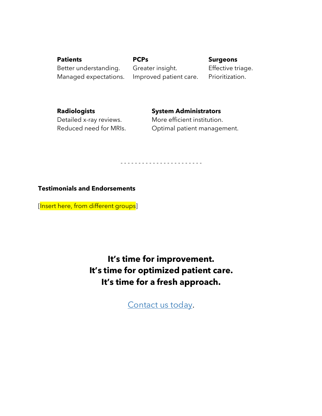**Patients PCPs Surgeons** Better understanding. Greater insight. Effective triage. Managed expectations. Improved patient care. Prioritization.

**Radiologists System Administrators**

Detailed x-ray reviews. More efficient institution. Reduced need for MRIs. Optimal patient management.

- - - - - - - - - - - - - - - - - - - - - - -

#### **Testimonials and Endorsements**

[Insert here, from different groups]

**It's time for improvement. It's time for optimized patient care. It's time for a fresh approach.**

Contact us today.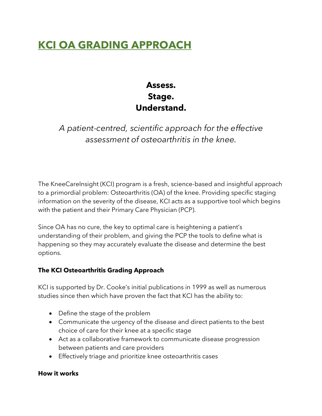### **KCI OA GRADING APPROACH**

### **Assess. Stage. Understand.**

### *A patient-centred, scientific approach for the effective assessment of osteoarthritis in the knee.*

The KneeCareInsight (KCI) program is a fresh, science-based and insightful approach to a primordial problem: Osteoarthritis (OA) of the knee. Providing specific staging information on the severity of the disease, KCI acts as a supportive tool which begins with the patient and their Primary Care Physician (PCP).

Since OA has no cure, the key to optimal care is heightening a patient's understanding of their problem, and giving the PCP the tools to define what is happening so they may accurately evaluate the disease and determine the best options.

#### **The KCI Osteoarthritis Grading Approach**

KCI is supported by Dr. Cooke's initial publications in 1999 as well as numerous studies since then which have proven the fact that KCI has the ability to:

- Define the stage of the problem
- Communicate the urgency of the disease and direct patients to the best choice of care for their knee at a specific stage
- Act as a collaborative framework to communicate disease progression between patients and care providers
- Effectively triage and prioritize knee osteoarthritis cases

#### **How it works**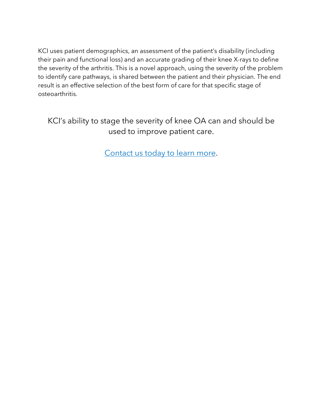KCI uses patient demographics, an assessment of the patient's disability (including their pain and functional loss) and an accurate grading of their knee X-rays to define the severity of the arthritis. This is a novel approach, using the severity of the problem to identify care pathways, is shared between the patient and their physician. The end result is an effective selection of the best form of care for that specific stage of osteoarthritis.

KCI's ability to stage the severity of knee OA can and should be used to improve patient care.

Contact us today to learn more.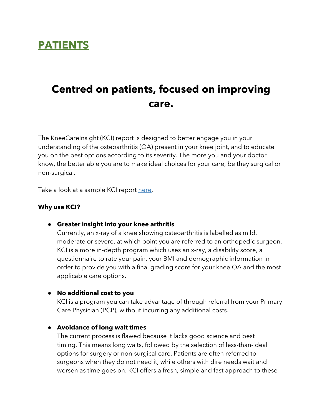

# **Centred on patients, focused on improving care.**

The KneeCareInsight (KCI) report is designed to better engage you in your understanding of the osteoarthritis (OA) present in your knee joint, and to educate you on the best options according to its severity. The more you and your doctor know, the better able you are to make ideal choices for your care, be they surgical or non-surgical.

Take a look at a sample KCI report here.

#### **Why use KCI?**

● **Greater insight into your knee arthritis**

Currently, an x-ray of a knee showing osteoarthritis is labelled as mild, moderate or severe, at which point you are referred to an orthopedic surgeon. KCI is a more in-depth program which uses an x-ray, a disability score, a questionnaire to rate your pain, your BMI and demographic information in order to provide you with a final grading score for your knee OA and the most applicable care options.

#### ● **No additional cost to you**

KCI is a program you can take advantage of through referral from your Primary Care Physician (PCP), without incurring any additional costs.

#### ● **Avoidance of long wait times**

The current process is flawed because it lacks good science and best timing. This means long waits, followed by the selection of less-than-ideal options for surgery or non-surgical care. Patients are often referred to surgeons when they do not need it, while others with dire needs wait and worsen as time goes on. KCI offers a fresh, simple and fast approach to these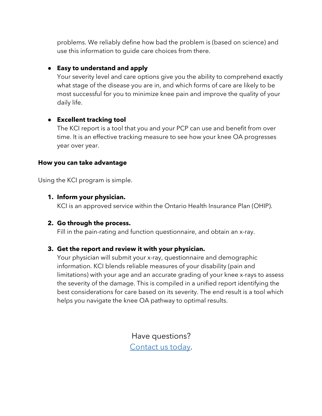problems. We reliably define how bad the problem is (based on science) and use this information to guide care choices from there.

#### ● **Easy to understand and apply**

Your severity level and care options give you the ability to comprehend exactly what stage of the disease you are in, and which forms of care are likely to be most successful for you to minimize knee pain and improve the quality of your daily life.

#### ● **Excellent tracking tool**

The KCI report is a tool that you and your PCP can use and benefit from over time. It is an effective tracking measure to see how your knee OA progresses year over year.

#### **How you can take advantage**

Using the KCI program is simple.

#### **1. Inform your physician.**

KCI is an approved service within the Ontario Health Insurance Plan (OHIP).

#### **2. Go through the process.**

Fill in the pain-rating and function questionnaire, and obtain an x-ray.

#### **3. Get the report and review it with your physician.**

Your physician will submit your x-ray, questionnaire and demographic information. KCI blends reliable measures of your disability (pain and limitations) with your age and an accurate grading of your knee x-rays to assess the severity of the damage. This is compiled in a unified report identifying the best considerations for care based on its severity. The end result is a tool which helps you navigate the knee OA pathway to optimal results.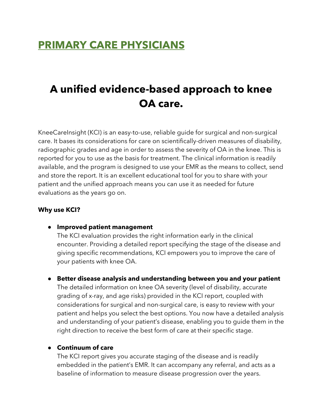### **PRIMARY CARE PHYSICIANS**

# **A unified evidence-based approach to knee OA care.**

KneeCareInsight (KCI) is an easy-to-use, reliable guide for surgical and non-surgical care. It bases its considerations for care on scientifically-driven measures of disability, radiographic grades and age in order to assess the severity of OA in the knee. This is reported for you to use as the basis for treatment. The clinical information is readily available, and the program is designed to use your EMR as the means to collect, send and store the report. It is an excellent educational tool for you to share with your patient and the unified approach means you can use it as needed for future evaluations as the years go on.

#### **Why use KCI?**

● **Improved patient management**

The KCI evaluation provides the right information early in the clinical encounter. Providing a detailed report specifying the stage of the disease and giving specific recommendations, KCI empowers you to improve the care of your patients with knee OA.

● **Better disease analysis and understanding between you and your patient** The detailed information on knee OA severity (level of disability, accurate grading of x-ray, and age risks) provided in the KCI report, coupled with considerations for surgical and non-surgical care, is easy to review with your patient and helps you select the best options. You now have a detailed analysis and understanding of your patient's disease, enabling you to guide them in the right direction to receive the best form of care at their specific stage.

#### ● **Continuum of care**

The KCI report gives you accurate staging of the disease and is readily embedded in the patient's EMR. It can accompany any referral, and acts as a baseline of information to measure disease progression over the years.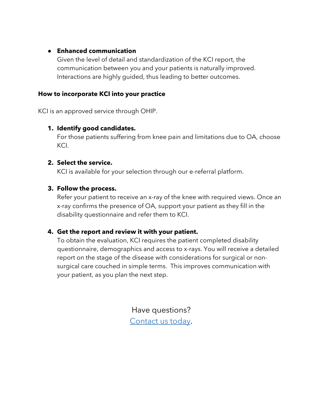#### ● **Enhanced communication**

Given the level of detail and standardization of the KCI report, the communication between you and your patients is naturally improved. Interactions are highly guided, thus leading to better outcomes.

#### **How to incorporate KCI into your practice**

KCI is an approved service through OHIP.

#### **1. Identify good candidates.**

For those patients suffering from knee pain and limitations due to OA, choose KCI.

#### **2. Select the service.**

KCI is available for your selection through our e-referral platform.

#### **3. Follow the process.**

Refer your patient to receive an x-ray of the knee with required views. Once an x-ray confirms the presence of OA, support your patient as they fill in the disability questionnaire and refer them to KCI.

#### **4. Get the report and review it with your patient.**

To obtain the evaluation, KCI requires the patient completed disability questionnaire, demographics and access to x-rays. You will receive a detailed report on the stage of the disease with considerations for surgical or nonsurgical care couched in simple terms. This improves communication with your patient, as you plan the next step.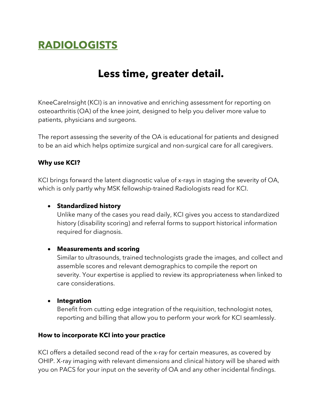# **RADIOLOGISTS**

### **Less time, greater detail.**

KneeCareInsight (KCI) is an innovative and enriching assessment for reporting on osteoarthritis (OA) of the knee joint, designed to help you deliver more value to patients, physicians and surgeons.

The report assessing the severity of the OA is educational for patients and designed to be an aid which helps optimize surgical and non-surgical care for all caregivers.

#### **Why use KCI?**

KCI brings forward the latent diagnostic value of x-rays in staging the severity of OA, which is only partly why MSK fellowship-trained Radiologists read for KCI.

#### • **Standardized history**

Unlike many of the cases you read daily, KCI gives you access to standardized history (disability scoring) and referral forms to support historical information required for diagnosis.

#### • **Measurements and scoring**

Similar to ultrasounds, trained technologists grade the images, and collect and assemble scores and relevant demographics to compile the report on severity. Your expertise is applied to review its appropriateness when linked to care considerations.

#### • **Integration**

Benefit from cutting edge integration of the requisition, technologist notes, reporting and billing that allow you to perform your work for KCI seamlessly.

#### **How to incorporate KCI into your practice**

KCI offers a detailed second read of the x-ray for certain measures, as covered by OHIP. X-ray imaging with relevant dimensions and clinical history will be shared with you on PACS for your input on the severity of OA and any other incidental findings.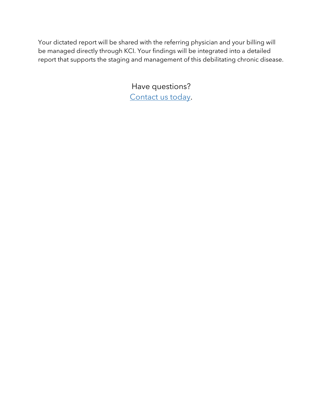Your dictated report will be shared with the referring physician and your billing will be managed directly through KCI. Your findings will be integrated into a detailed report that supports the staging and management of this debilitating chronic disease.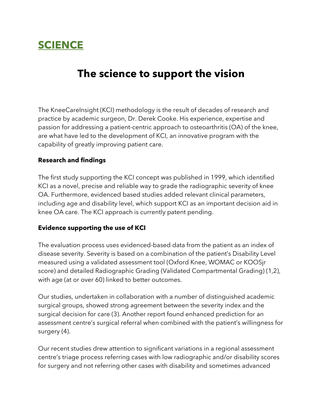### **SCIENCE**

### **The science to support the vision**

The KneeCareInsight (KCI) methodology is the result of decades of research and practice by academic surgeon, Dr. Derek Cooke. His experience, expertise and passion for addressing a patient-centric approach to osteoarthritis (OA) of the knee, are what have led to the development of KCI, an innovative program with the capability of greatly improving patient care.

#### **Research and findings**

The first study supporting the KCI concept was published in 1999, which identified KCI as a novel, precise and reliable way to grade the radiographic severity of knee OA. Furthermore, evidenced based studies added relevant clinical parameters, including age and disability level, which support KCI as an important decision aid in knee OA care. The KCI approach is currently patent pending.

#### **Evidence supporting the use of KCI**

The evaluation process uses evidenced-based data from the patient as an index of disease severity. Severity is based on a combination of the patient's Disability Level measured using a validated assessment tool (Oxford Knee, WOMAC or KOOSjr score) and detailed Radiographic Grading (Validated Compartmental Grading) (1,2), with age (at or over 60) linked to better outcomes.

Our studies, undertaken in collaboration with a number of distinguished academic surgical groups, showed strong agreement between the severity index and the surgical decision for care (3). Another report found enhanced prediction for an assessment centre's surgical referral when combined with the patient's willingness for surgery (4).

Our recent studies drew attention to significant variations in a regional assessment centre's triage process referring cases with low radiographic and/or disability scores for surgery and not referring other cases with disability and sometimes advanced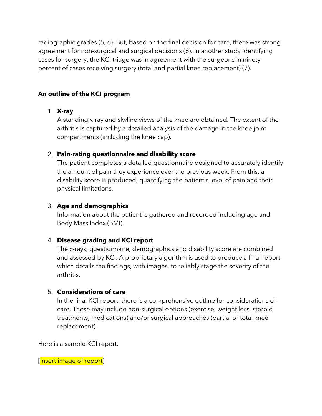radiographic grades (5, 6). But, based on the final decision for care, there was strong agreement for non-surgical and surgical decisions (6). In another study identifying cases for surgery, the KCI triage was in agreement with the surgeons in ninety percent of cases receiving surgery (total and partial knee replacement) (7).

#### **An outline of the KCI program**

#### 1. **X-ray**

A standing x-ray and skyline views of the knee are obtained. The extent of the arthritis is captured by a detailed analysis of the damage in the knee joint compartments (including the knee cap).

#### 2. **Pain-rating questionnaire and disability score**

The patient completes a detailed questionnaire designed to accurately identify the amount of pain they experience over the previous week. From this, a disability score is produced, quantifying the patient's level of pain and their physical limitations.

#### 3. **Age and demographics**

Information about the patient is gathered and recorded including age and Body Mass Index (BMI).

#### 4. **Disease grading and KCI report**

The x-rays, questionnaire, demographics and disability score are combined and assessed by KCI. A proprietary algorithm is used to produce a final report which details the findings, with images, to reliably stage the severity of the arthritis.

#### 5. **Considerations of care**

In the final KCI report, there is a comprehensive outline for considerations of care. These may include non-surgical options (exercise, weight loss, steroid treatments, medications) and/or surgical approaches (partial or total knee replacement).

Here is a sample KCI report.

[Insert image of report]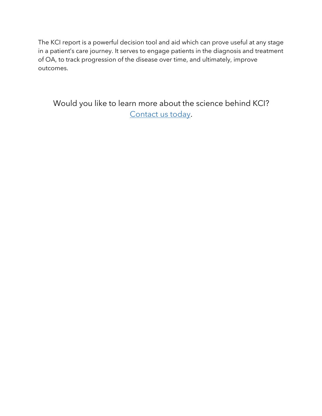The KCI report is a powerful decision tool and aid which can prove useful at any stage in a patient's care journey. It serves to engage patients in the diagnosis and treatment of OA, to track progression of the disease over time, and ultimately, improve outcomes.

Would you like to learn more about the science behind KCI? Contact us today.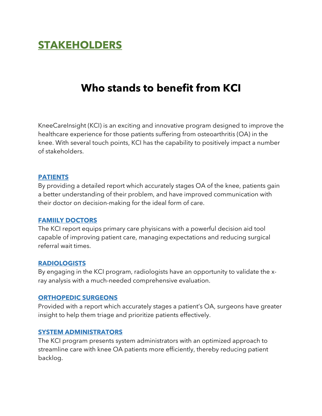### **STAKEHOLDERS**

### **Who stands to benefit from KCI**

KneeCareInsight (KCI) is an exciting and innovative program designed to improve the healthcare experience for those patients suffering from osteoarthritis (OA) in the knee. With several touch points, KCI has the capability to positively impact a number of stakeholders.

#### **PATIENTS**

By providing a detailed report which accurately stages OA of the knee, patients gain a better understanding of their problem, and have improved communication with their doctor on decision-making for the ideal form of care.

#### **FAMIILY DOCTORS**

The KCI report equips primary care phyisicans with a powerful decision aid tool capable of improving patient care, managing expectations and reducing surgical referral wait times.

#### **RADIOLOGISTS**

By engaging in the KCI program, radiologists have an opportunity to validate the xray analysis with a much-needed comprehensive evaluation.

#### **ORTHOPEDIC SURGEONS**

Provided with a report which accurately stages a patient's OA, surgeons have greater insight to help them triage and prioritize patients effectively.

#### **SYSTEM ADMINISTRATORS**

The KCI program presents system administrators with an optimized approach to streamline care with knee OA patients more efficiently, thereby reducing patient backlog.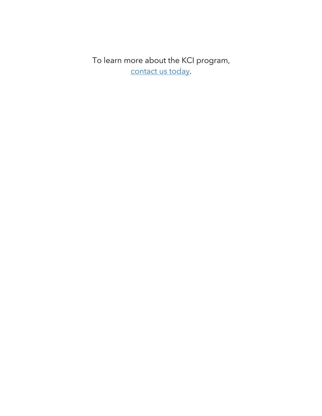To learn more about the KCI program, contact us today.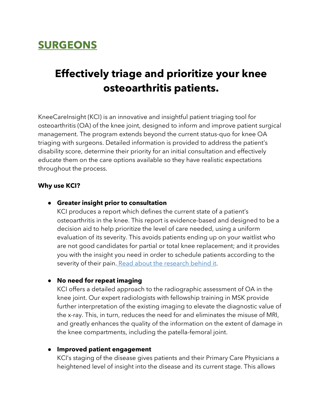### **SURGEONS**

### **Effectively triage and prioritize your knee osteoarthritis patients.**

KneeCareInsight (KCI) is an innovative and insightful patient triaging tool for osteoarthritis (OA) of the knee joint, designed to inform and improve patient surgical management. The program extends beyond the current status-quo for knee OA triaging with surgeons. Detailed information is provided to address the patient's disability score, determine their priority for an initial consultation and effectively educate them on the care options available so they have realistic expectations throughout the process.

#### **Why use KCI?**

#### ● **Greater insight prior to consultation**

KCI produces a report which defines the current state of a patient's osteoarthritis in the knee. This report is evidence-based and designed to be a decision aid to help prioritize the level of care needed, using a uniform evaluation of its severity. This avoids patients ending up on your waitlist who are not good candidates for partial or total knee replacement; and it provides you with the insight you need in order to schedule patients according to the severity of their pain. Read about the research behind it.

#### ● **No need for repeat imaging**

KCI offers a detailed approach to the radiographic assessment of OA in the knee joint. Our expert radiologists with fellowship training in MSK provide further interpretation of the existing imaging to elevate the diagnostic value of the x-ray. This, in turn, reduces the need for and eliminates the misuse of MRI, and greatly enhances the quality of the information on the extent of damage in the knee compartments, including the patella-femoral joint.

#### ● **Improved patient engagement**

KCI's staging of the disease gives patients and their Primary Care Physicians a heightened level of insight into the disease and its current stage. This allows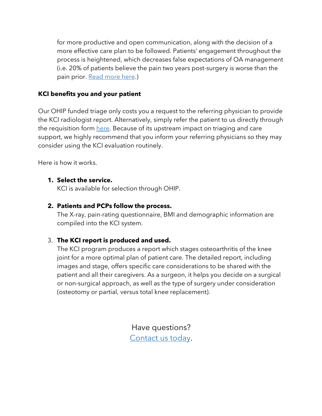for more productive and open communication, along with the decision of a more effective care plan to be followed. Patients' engagement throughout the process is heightened, which decreases false expectations of OA management (i.e. 20% of patients believe the pain two years post-surgery is worse than the pain prior. Read more here.)

#### **KCI benefits you and your patient**

Our OHIP funded triage only costs you a request to the referring physician to provide the KCI radiologist report. Alternatively, simply refer the patient to us directly through the requisition form here. Because of its upstream impact on triaging and care support, we highly recommend that you inform your referring physicians so they may consider using the KCI evaluation routinely.

Here is how it works.

#### **1. Select the service.**

KCI is available for selection through OHIP.

#### **2. Patients and PCPs follow the process.**

The X-ray, pain-rating questionnaire, BMI and demographic information are compiled into the KCI system.

### 3. **The KCI report is produced and used.**

The KCI program produces a report which stages osteoarthritis of the knee joint for a more optimal plan of patient care. The detailed report, including images and stage, offers specific care considerations to be shared with the patient and all their caregivers. As a surgeon, it helps you decide on a surgical or non-surgical approach, as well as the type of surgery under consideration (osteotomy or partial, versus total knee replacement).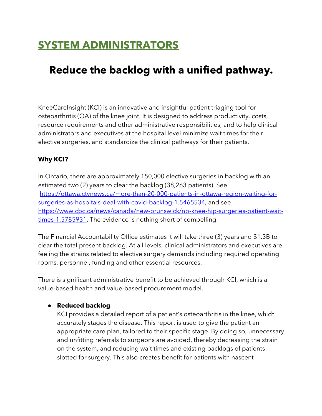## **SYSTEM ADMINISTRATORS**

### **Reduce the backlog with a unified pathway.**

KneeCareInsight (KCI) is an innovative and insightful patient triaging tool for osteoarthritis (OA) of the knee joint. It is designed to address productivity, costs, resource requirements and other administrative responsibilities, and to help clinical administrators and executives at the hospital level minimize wait times for their elective surgeries, and standardize the clinical pathways for their patients.

#### **Why KCI?**

In Ontario, there are approximately 150,000 elective surgeries in backlog with an estimated two (2) years to clear the backlog (38,263 patients). See https://ottawa.ctvnews.ca/more-than-20-000-patients-in-ottawa-region-waiting-forsurgeries-as-hospitals-deal-with-covid-backlog-1.5465534, and see https://www.cbc.ca/news/canada/new-brunswick/nb-knee-hip-surgeries-patient-waittimes-1.5785931. The evidence is nothing short of compelling.

The Financial Accountability Office estimates it will take three (3) years and \$1.3B to clear the total present backlog. At all levels, clinical administrators and executives are feeling the strains related to elective surgery demands including required operating rooms, personnel, funding and other essential resources.

There is significant administrative benefit to be achieved through KCI, which is a value-based health and value-based procurement model.

#### ● **Reduced backlog**

KCI provides a detailed report of a patient's osteoarthritis in the knee, which accurately stages the disease. This report is used to give the patient an appropriate care plan, tailored to their specific stage. By doing so, unnecessary and unfitting referrals to surgeons are avoided, thereby decreasing the strain on the system, and reducing wait times and existing backlogs of patients slotted for surgery. This also creates benefit for patients with nascent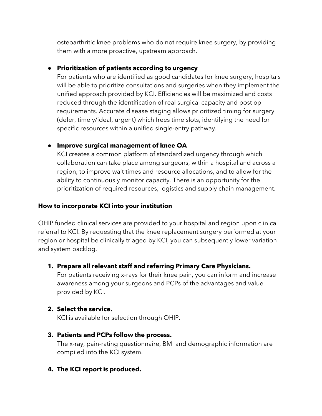osteoarthritic knee problems who do not require knee surgery, by providing them with a more proactive, upstream approach.

#### ● **Prioritization of patients according to urgency**

For patients who are identified as good candidates for knee surgery, hospitals will be able to prioritize consultations and surgeries when they implement the unified approach provided by KCI. Efficiencies will be maximized and costs reduced through the identification of real surgical capacity and post op requirements. Accurate disease staging allows prioritized timing for surgery (defer, timely/ideal, urgent) which frees time slots, identifying the need for specific resources within a unified single-entry pathway.

#### ● **Improve surgical management of knee OA**

KCI creates a common platform of standardized urgency through which collaboration can take place among surgeons, within a hospital and across a region, to improve wait times and resource allocations, and to allow for the ability to continuously monitor capacity. There is an opportunity for the prioritization of required resources, logistics and supply chain management.

#### **How to incorporate KCI into your institution**

OHIP funded clinical services are provided to your hospital and region upon clinical referral to KCI. By requesting that the knee replacement surgery performed at your region or hospital be clinically triaged by KCI, you can subsequently lower variation and system backlog.

#### **1. Prepare all relevant staff and referring Primary Care Physicians.**

For patients receiving x-rays for their knee pain, you can inform and increase awareness among your surgeons and PCPs of the advantages and value provided by KCI.

#### **2. Select the service.**

KCI is available for selection through OHIP.

#### **3. Patients and PCPs follow the process.**

The x-ray, pain-rating questionnaire, BMI and demographic information are compiled into the KCI system.

#### **4. The KCI report is produced.**